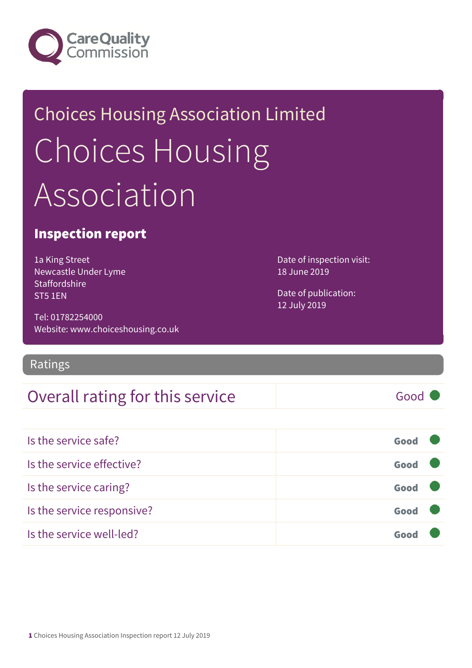

# Choices Housing Association Limited Choices Housing Association

### Inspection report

1a King Street Newcastle Under Lyme Staffordshire ST5 1EN

Tel: 01782254000 Website: www.choiceshousing.co.uk

### Ratings

### Overall rating for this service Fig. 600 Good

Date of inspection visit: 18 June 2019

Date of publication: 12 July 2019

| Is the service safe?       | Good |  |
|----------------------------|------|--|
| Is the service effective?  | Good |  |
| Is the service caring?     | Good |  |
| Is the service responsive? | Good |  |
| Is the service well-led?   | Gooc |  |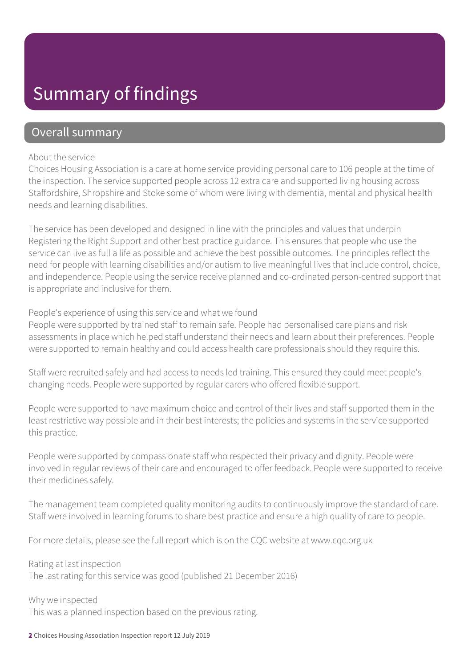### Summary of findings

### Overall summary

#### About the service

Choices Housing Association is a care at home service providing personal care to 106 people at the time of the inspection. The service supported people across 12 extra care and supported living housing across Staffordshire, Shropshire and Stoke some of whom were living with dementia, mental and physical health needs and learning disabilities.

The service has been developed and designed in line with the principles and values that underpin Registering the Right Support and other best practice guidance. This ensures that people who use the service can live as full a life as possible and achieve the best possible outcomes. The principles reflect the need for people with learning disabilities and/or autism to live meaningful lives that include control, choice, and independence. People using the service receive planned and co-ordinated person-centred support that is appropriate and inclusive for them.

#### People's experience of using this service and what we found

People were supported by trained staff to remain safe. People had personalised care plans and risk assessments in place which helped staff understand their needs and learn about their preferences. People were supported to remain healthy and could access health care professionals should they require this.

Staff were recruited safely and had access to needs led training. This ensured they could meet people's changing needs. People were supported by regular carers who offered flexible support.

People were supported to have maximum choice and control of their lives and staff supported them in the least restrictive way possible and in their best interests; the policies and systems in the service supported this practice.

People were supported by compassionate staff who respected their privacy and dignity. People were involved in regular reviews of their care and encouraged to offer feedback. People were supported to receive their medicines safely.

The management team completed quality monitoring audits to continuously improve the standard of care. Staff were involved in learning forums to share best practice and ensure a high quality of care to people.

For more details, please see the full report which is on the CQC website at www.cqc.org.uk

Rating at last inspection The last rating for this service was good (published 21 December 2016)

Why we inspected This was a planned inspection based on the previous rating.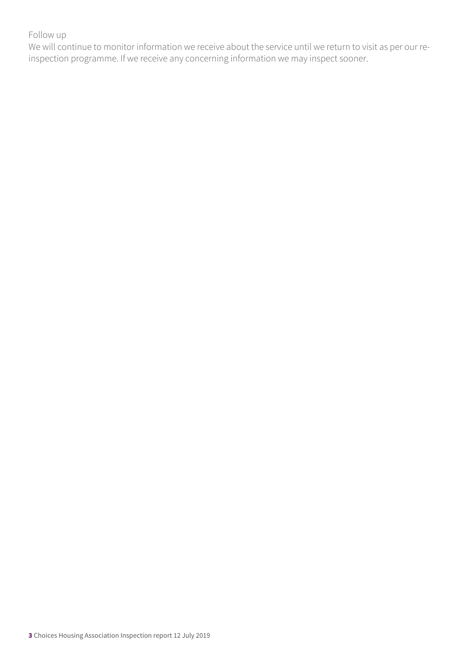### Follow up

We will continue to monitor information we receive about the service until we return to visit as per our reinspection programme. If we receive any concerning information we may inspect sooner.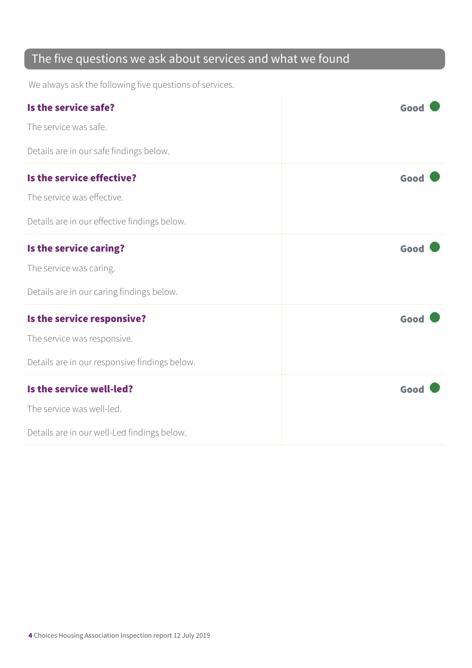### The five questions we ask about services and what we found

We always ask the following five questions of services.

| Is the service safe?                          | Good |
|-----------------------------------------------|------|
| The service was safe.                         |      |
| Details are in our safe findings below.       |      |
| Is the service effective?                     | Good |
| The service was effective.                    |      |
| Details are in our effective findings below.  |      |
| Is the service caring?                        | Good |
| The service was caring.                       |      |
| Details are in our caring findings below.     |      |
| Is the service responsive?                    | Good |
| The service was responsive.                   |      |
| Details are in our responsive findings below. |      |
| Is the service well-led?                      | Good |
| The service was well-led.                     |      |
| Details are in our well-Led findings below.   |      |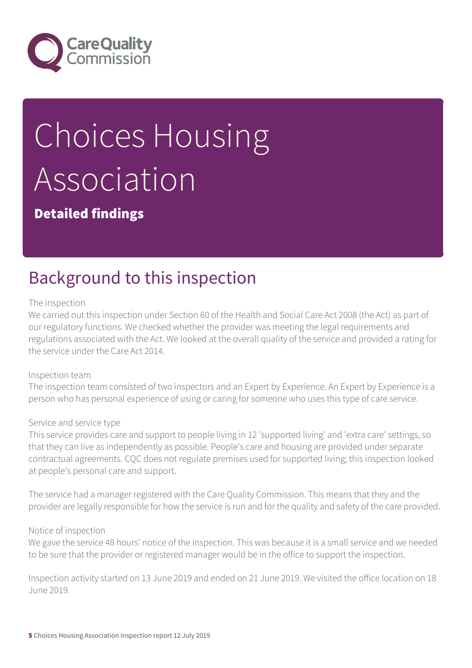

# Choices Housing Association

Detailed findings

## Background to this inspection

#### The inspection

We carried out this inspection under Section 60 of the Health and Social Care Act 2008 (the Act) as part of our regulatory functions. We checked whether the provider was meeting the legal requirements and regulations associated with the Act. We looked at the overall quality of the service and provided a rating for the service under the Care Act 2014.

#### Inspection team

The inspection team consisted of two inspectors and an Expert by Experience. An Expert by Experience is a person who has personal experience of using or caring for someone who uses this type of care service.

#### Service and service type

This service provides care and support to people living in 12 'supported living' and 'extra care' settings, so that they can live as independently as possible. People's care and housing are provided under separate contractual agreements. CQC does not regulate premises used for supported living; this inspection looked at people's personal care and support.

The service had a manager registered with the Care Quality Commission. This means that they and the provider are legally responsible for how the service is run and for the quality and safety of the care provided.

#### Notice of inspection

We gave the service 48 hours' notice of the inspection. This was because it is a small service and we needed to be sure that the provider or registered manager would be in the office to support the inspection.

Inspection activity started on 13 June 2019 and ended on 21 June 2019. We visited the office location on 18 June 2019.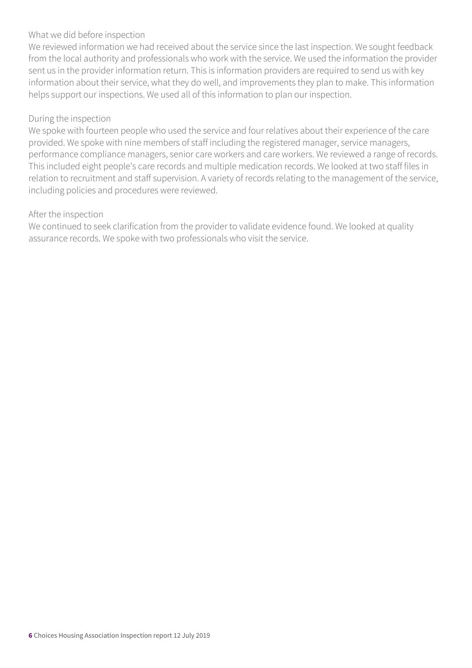#### What we did before inspection

We reviewed information we had received about the service since the last inspection. We sought feedback from the local authority and professionals who work with the service. We used the information the provider sent us in the provider information return. This is information providers are required to send us with key information about their service, what they do well, and improvements they plan to make. This information helps support our inspections. We used all of this information to plan our inspection.

#### During the inspection

We spoke with fourteen people who used the service and four relatives about their experience of the care provided. We spoke with nine members of staff including the registered manager, service managers, performance compliance managers, senior care workers and care workers. We reviewed a range of records. This included eight people's care records and multiple medication records. We looked at two staff files in relation to recruitment and staff supervision. A variety of records relating to the management of the service, including policies and procedures were reviewed.

#### After the inspection

We continued to seek clarification from the provider to validate evidence found. We looked at quality assurance records. We spoke with two professionals who visit the service.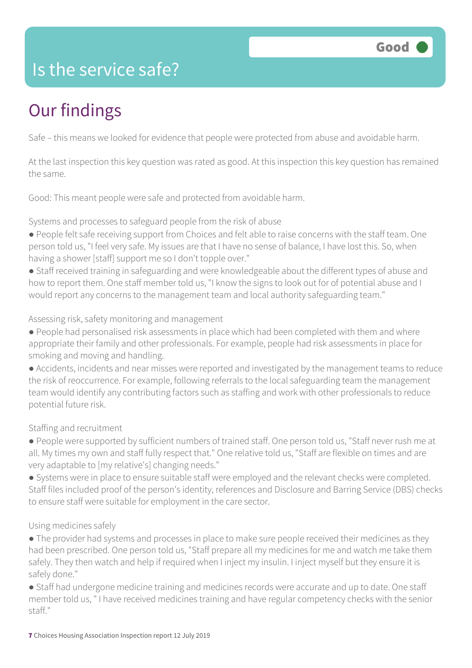### Is the service safe?

# Our findings

Safe – this means we looked for evidence that people were protected from abuse and avoidable harm.

At the last inspection this key question was rated as good. At this inspection this key question has remained the same.

Good: This meant people were safe and protected from avoidable harm.

Systems and processes to safeguard people from the risk of abuse

- People felt safe receiving support from Choices and felt able to raise concerns with the staff team. One person told us, "I feel very safe. My issues are that I have no sense of balance, I have lost this. So, when having a shower [staff] support me so I don't topple over."
- Staff received training in safeguarding and were knowledgeable about the different types of abuse and how to report them. One staff member told us, "I know the signs to look out for of potential abuse and I would report any concerns to the management team and local authority safeguarding team."

Assessing risk, safety monitoring and management

- People had personalised risk assessments in place which had been completed with them and where appropriate their family and other professionals. For example, people had risk assessments in place for smoking and moving and handling.
- Accidents, incidents and near misses were reported and investigated by the management teams to reduce the risk of reoccurrence. For example, following referrals to the local safeguarding team the management team would identify any contributing factors such as staffing and work with other professionals to reduce potential future risk.

### Staffing and recruitment

- People were supported by sufficient numbers of trained staff. One person told us, "Staff never rush me at all. My times my own and staff fully respect that." One relative told us, "Staff are flexible on times and are very adaptable to [my relative's] changing needs."
- Systems were in place to ensure suitable staff were employed and the relevant checks were completed. Staff files included proof of the person's identity, references and Disclosure and Barring Service (DBS) checks to ensure staff were suitable for employment in the care sector.

### Using medicines safely

- The provider had systems and processes in place to make sure people received their medicines as they had been prescribed. One person told us, "Staff prepare all my medicines for me and watch me take them safely. They then watch and help if required when I inject my insulin. I inject myself but they ensure it is safely done."
- Staff had undergone medicine training and medicines records were accurate and up to date. One staff member told us, " I have received medicines training and have regular competency checks with the senior staff."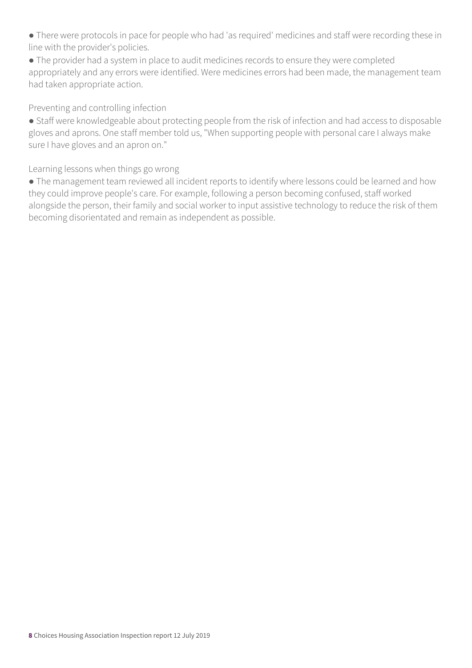● There were protocols in pace for people who had 'as required' medicines and staff were recording these in line with the provider's policies.

● The provider had a system in place to audit medicines records to ensure they were completed appropriately and any errors were identified. Were medicines errors had been made, the management team had taken appropriate action.

Preventing and controlling infection

● Staff were knowledgeable about protecting people from the risk of infection and had access to disposable gloves and aprons. One staff member told us, "When supporting people with personal care I always make sure I have gloves and an apron on."

Learning lessons when things go wrong

● The management team reviewed all incident reports to identify where lessons could be learned and how they could improve people's care. For example, following a person becoming confused, staff worked alongside the person, their family and social worker to input assistive technology to reduce the risk of them becoming disorientated and remain as independent as possible.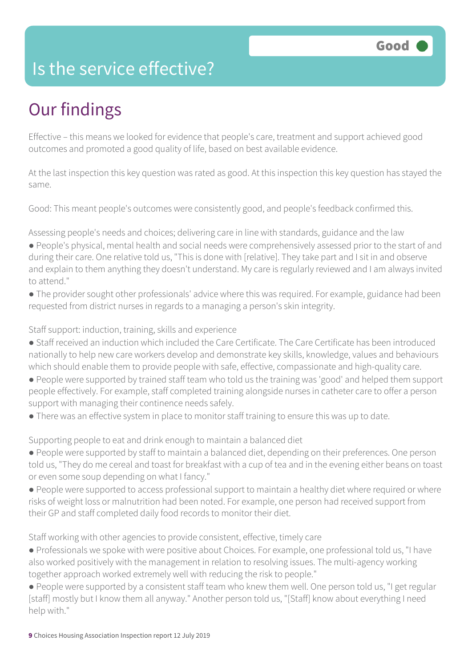### Is the service effective?

# Our findings

Effective – this means we looked for evidence that people's care, treatment and support achieved good outcomes and promoted a good quality of life, based on best available evidence.

At the last inspection this key question was rated as good. At this inspection this key question has stayed the same.

Good: This meant people's outcomes were consistently good, and people's feedback confirmed this.

Assessing people's needs and choices; delivering care in line with standards, guidance and the law

- People's physical, mental health and social needs were comprehensively assessed prior to the start of and during their care. One relative told us, "This is done with [relative]. They take part and I sit in and observe and explain to them anything they doesn't understand. My care is regularly reviewed and I am always invited to attend."
- The provider sought other professionals' advice where this was required. For example, guidance had been requested from district nurses in regards to a managing a person's skin integrity.

Staff support: induction, training, skills and experience

- Staff received an induction which included the Care Certificate. The Care Certificate has been introduced nationally to help new care workers develop and demonstrate key skills, knowledge, values and behaviours which should enable them to provide people with safe, effective, compassionate and high-quality care.
- People were supported by trained staff team who told us the training was 'good' and helped them support people effectively. For example, staff completed training alongside nurses in catheter care to offer a person support with managing their continence needs safely.
- There was an effective system in place to monitor staff training to ensure this was up to date.

Supporting people to eat and drink enough to maintain a balanced diet

- People were supported by staff to maintain a balanced diet, depending on their preferences. One person told us, "They do me cereal and toast for breakfast with a cup of tea and in the evening either beans on toast or even some soup depending on what I fancy."
- People were supported to access professional support to maintain a healthy diet where required or where risks of weight loss or malnutrition had been noted. For example, one person had received support from their GP and staff completed daily food records to monitor their diet.

Staff working with other agencies to provide consistent, effective, timely care

- Professionals we spoke with were positive about Choices. For example, one professional told us, "I have also worked positively with the management in relation to resolving issues. The multi-agency working together approach worked extremely well with reducing the risk to people."
- People were supported by a consistent staff team who knew them well. One person told us, "I get regular [staff] mostly but I know them all anyway." Another person told us, "[Staff] know about everything I need help with."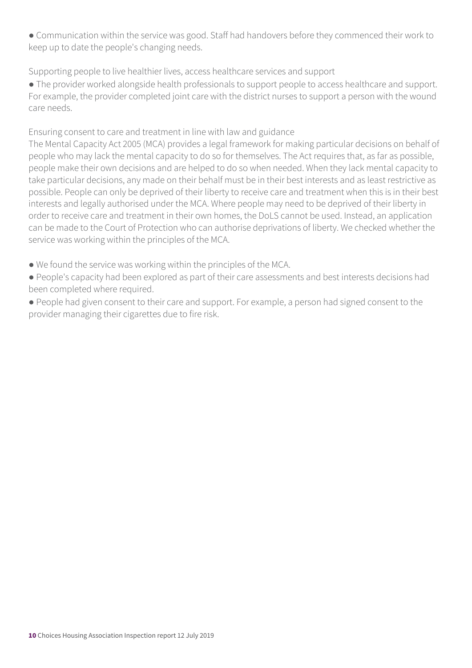● Communication within the service was good. Staff had handovers before they commenced their work to keep up to date the people's changing needs.

Supporting people to live healthier lives, access healthcare services and support

● The provider worked alongside health professionals to support people to access healthcare and support. For example, the provider completed joint care with the district nurses to support a person with the wound care needs.

Ensuring consent to care and treatment in line with law and guidance

The Mental Capacity Act 2005 (MCA) provides a legal framework for making particular decisions on behalf of people who may lack the mental capacity to do so for themselves. The Act requires that, as far as possible, people make their own decisions and are helped to do so when needed. When they lack mental capacity to take particular decisions, any made on their behalf must be in their best interests and as least restrictive as possible. People can only be deprived of their liberty to receive care and treatment when this is in their best interests and legally authorised under the MCA. Where people may need to be deprived of their liberty in order to receive care and treatment in their own homes, the DoLS cannot be used. Instead, an application can be made to the Court of Protection who can authorise deprivations of liberty. We checked whether the service was working within the principles of the MCA.

- We found the service was working within the principles of the MCA.
- People's capacity had been explored as part of their care assessments and best interests decisions had been completed where required.
- People had given consent to their care and support. For example, a person had signed consent to the provider managing their cigarettes due to fire risk.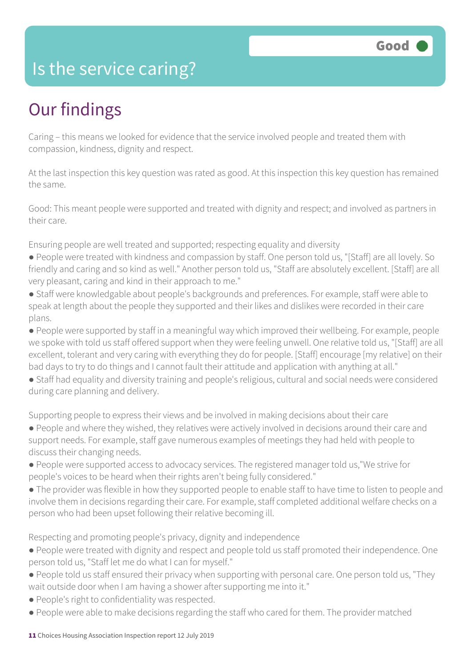### Is the service caring?

# Our findings

Caring – this means we looked for evidence that the service involved people and treated them with compassion, kindness, dignity and respect.

At the last inspection this key question was rated as good. At this inspection this key question has remained the same.

Good: This meant people were supported and treated with dignity and respect; and involved as partners in their care.

Ensuring people are well treated and supported; respecting equality and diversity

- People were treated with kindness and compassion by staff. One person told us, "[Staff] are all lovely. So friendly and caring and so kind as well." Another person told us, "Staff are absolutely excellent. [Staff] are all very pleasant, caring and kind in their approach to me."
- Staff were knowledgable about people's backgrounds and preferences. For example, staff were able to speak at length about the people they supported and their likes and dislikes were recorded in their care plans.
- People were supported by staff in a meaningful way which improved their wellbeing. For example, people we spoke with told us staff offered support when they were feeling unwell. One relative told us, "[Staff] are all excellent, tolerant and very caring with everything they do for people. [Staff] encourage [my relative] on their bad days to try to do things and I cannot fault their attitude and application with anything at all."
- Staff had equality and diversity training and people's religious, cultural and social needs were considered during care planning and delivery.

Supporting people to express their views and be involved in making decisions about their care

- People and where they wished, they relatives were actively involved in decisions around their care and support needs. For example, staff gave numerous examples of meetings they had held with people to discuss their changing needs.
- People were supported access to advocacy services. The registered manager told us,"We strive for people's voices to be heard when their rights aren't being fully considered."
- The provider was flexible in how they supported people to enable staff to have time to listen to people and involve them in decisions regarding their care. For example, staff completed additional welfare checks on a person who had been upset following their relative becoming ill.

Respecting and promoting people's privacy, dignity and independence

- People were treated with dignity and respect and people told us staff promoted their independence. One person told us, "Staff let me do what I can for myself."
- People told us staff ensured their privacy when supporting with personal care. One person told us, "They wait outside door when I am having a shower after supporting me into it."
- People's right to confidentiality was respected.
- People were able to make decisions regarding the staff who cared for them. The provider matched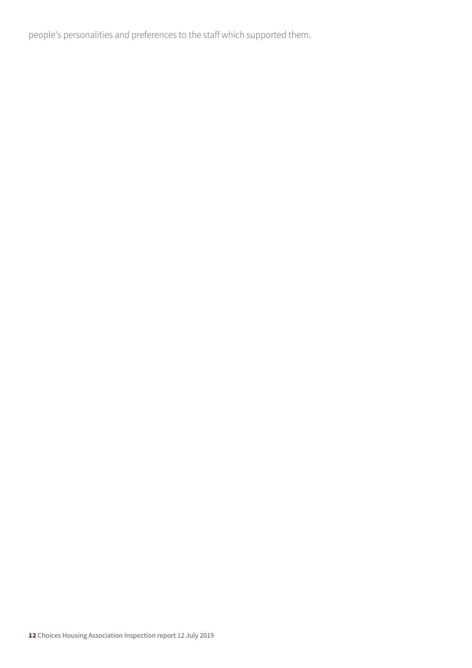people's personalities and preferences to the staff which supported them.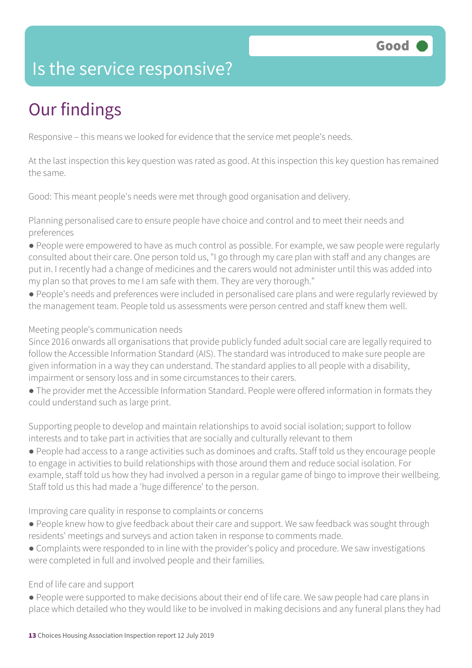### Is the service responsive?

# Our findings

Responsive – this means we looked for evidence that the service met people's needs.

At the last inspection this key question was rated as good. At this inspection this key question has remained the same.

Good: This meant people's needs were met through good organisation and delivery.

Planning personalised care to ensure people have choice and control and to meet their needs and preferences

- People were empowered to have as much control as possible. For example, we saw people were regularly consulted about their care. One person told us, "I go through my care plan with staff and any changes are put in. I recently had a change of medicines and the carers would not administer until this was added into my plan so that proves to me I am safe with them. They are very thorough."
- People's needs and preferences were included in personalised care plans and were regularly reviewed by the management team. People told us assessments were person centred and staff knew them well.

#### Meeting people's communication needs

Since 2016 onwards all organisations that provide publicly funded adult social care are legally required to follow the Accessible Information Standard (AIS). The standard was introduced to make sure people are given information in a way they can understand. The standard applies to all people with a disability, impairment or sensory loss and in some circumstances to their carers.

• The provider met the Accessible Information Standard. People were offered information in formats they could understand such as large print.

Supporting people to develop and maintain relationships to avoid social isolation; support to follow interests and to take part in activities that are socially and culturally relevant to them

● People had access to a range activities such as dominoes and crafts. Staff told us they encourage people to engage in activities to build relationships with those around them and reduce social isolation. For example, staff told us how they had involved a person in a regular game of bingo to improve their wellbeing. Staff told us this had made a 'huge difference' to the person.

Improving care quality in response to complaints or concerns

- People knew how to give feedback about their care and support. We saw feedback was sought through residents' meetings and surveys and action taken in response to comments made.
- Complaints were responded to in line with the provider's policy and procedure. We saw investigations were completed in full and involved people and their families.

### End of life care and support

● People were supported to make decisions about their end of life care. We saw people had care plans in place which detailed who they would like to be involved in making decisions and any funeral plans they had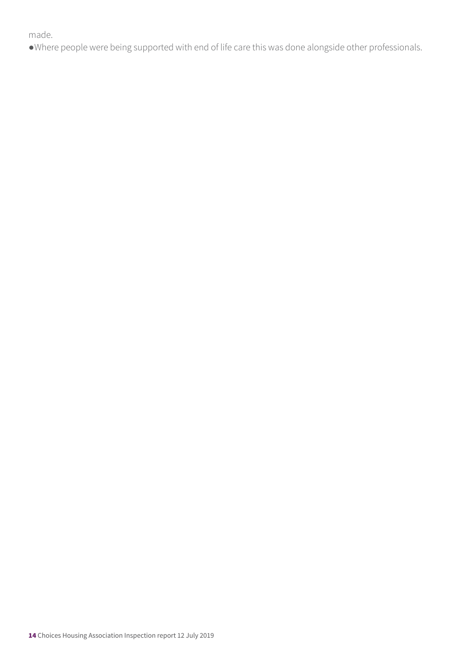#### made.

●Where people were being supported with end of life care this was done alongside other professionals.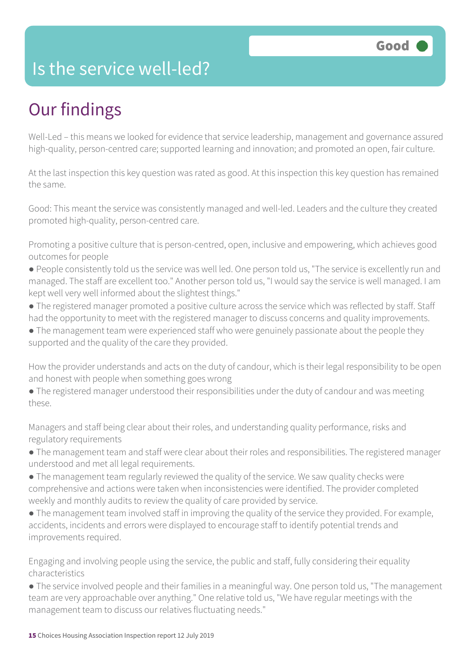### Is the service well-led?

# Our findings

Well-Led – this means we looked for evidence that service leadership, management and governance assured high-quality, person-centred care; supported learning and innovation; and promoted an open, fair culture.

At the last inspection this key question was rated as good. At this inspection this key question has remained the same.

Good: This meant the service was consistently managed and well-led. Leaders and the culture they created promoted high-quality, person-centred care.

Promoting a positive culture that is person-centred, open, inclusive and empowering, which achieves good outcomes for people

- People consistently told us the service was well led. One person told us, "The service is excellently run and managed. The staff are excellent too." Another person told us, "I would say the service is well managed. I am kept well very well informed about the slightest things."
- The registered manager promoted a positive culture across the service which was reflected by staff. Staff had the opportunity to meet with the registered manager to discuss concerns and quality improvements.
- The management team were experienced staff who were genuinely passionate about the people they supported and the quality of the care they provided.

How the provider understands and acts on the duty of candour, which is their legal responsibility to be open and honest with people when something goes wrong

● The registered manager understood their responsibilities under the duty of candour and was meeting these.

Managers and staff being clear about their roles, and understanding quality performance, risks and regulatory requirements

- The management team and staff were clear about their roles and responsibilities. The registered manager understood and met all legal requirements.
- The management team regularly reviewed the quality of the service. We saw quality checks were comprehensive and actions were taken when inconsistencies were identified. The provider completed weekly and monthly audits to review the quality of care provided by service.
- The management team involved staff in improving the quality of the service they provided. For example, accidents, incidents and errors were displayed to encourage staff to identify potential trends and improvements required.

Engaging and involving people using the service, the public and staff, fully considering their equality characteristics

• The service involved people and their families in a meaningful way. One person told us, "The management team are very approachable over anything." One relative told us, "We have regular meetings with the management team to discuss our relatives fluctuating needs."